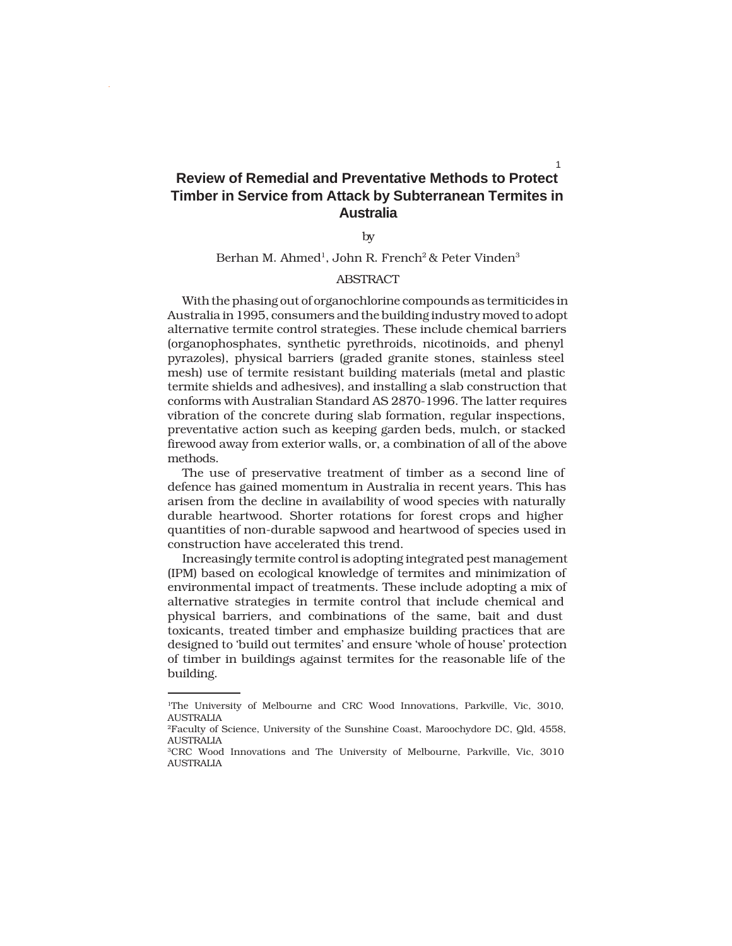# **Review of Remedial and Preventative Methods to Protect Timber in Service from Attack by Subterranean Termites in Australia**

by

# Berhan M. Ahmed<sup>1</sup>, John R. French<sup>2</sup> & Peter Vinden<sup>3</sup>

# **ABSTRACT**

With the phasing out of organochlorine compounds as termiticides in Australia in 1995, consumers and the building industry moved to adopt alternative termite control strategies. These include chemical barriers (organophosphates, synthetic pyrethroids, nicotinoids, and phenyl pyrazoles), physical barriers (graded granite stones, stainless steel mesh) use of termite resistant building materials (metal and plastic termite shields and adhesives), and installing a slab construction that conforms with Australian Standard AS 2870-1996. The latter requires vibration of the concrete during slab formation, regular inspections, preventative action such as keeping garden beds, mulch, or stacked firewood away from exterior walls, or, a combination of all of the above methods.

The use of preservative treatment of timber as a second line of defence has gained momentum in Australia in recent years. This has arisen from the decline in availability of wood species with naturally durable heartwood. Shorter rotations for forest crops and higher quantities of non-durable sapwood and heartwood of species used in construction have accelerated this trend.

Increasingly termite control is adopting integrated pest management (IPM) based on ecological knowledge of termites and minimization of environmental impact of treatments. These include adopting a mix of alternative strategies in termite control that include chemical and physical barriers, and combinations of the same, bait and dust toxicants, treated timber and emphasize building practices that are designed to 'build out termites' and ensure 'whole of house' protection of timber in buildings against termites for the reasonable life of the building.

1

<sup>1</sup>The University of Melbourne and CRC Wood Innovations, Parkville, Vic, 3010, AUSTRALIA

<sup>2</sup>Faculty of Science, University of the Sunshine Coast, Maroochydore DC, Qld, 4558, AUSTRALIA

<sup>3</sup>CRC Wood Innovations and The University of Melbourne, Parkville, Vic, 3010 **AUSTRALIA**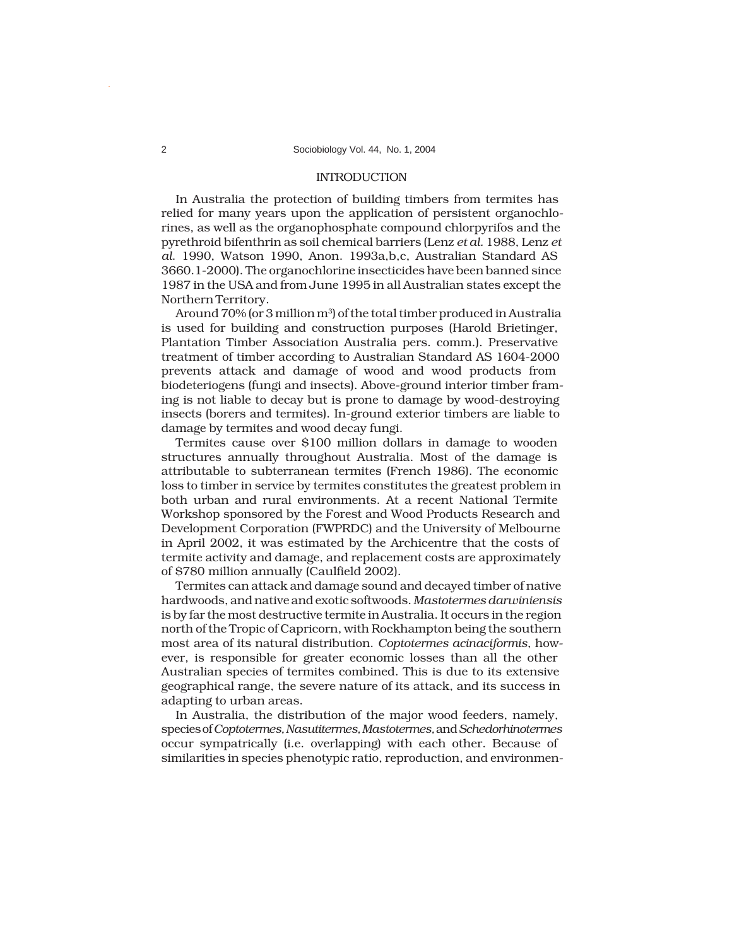## INTRODUCTION

In Australia the protection of building timbers from termites has relied for many years upon the application of persistent organochlorines, as well as the organophosphate compound chlorpyrifos and the pyrethroid bifenthrin as soil chemical barriers (Lenz *et al.* 1988, Lenz *et al*. 1990, Watson 1990, Anon. 1993a,b,c, Australian Standard AS 3660.1-2000). The organochlorine insecticides have been banned since 1987 in the USA and from June 1995 in all Australian states except the Northern Territory.

Around 70% (or 3 million m<sup>3</sup>) of the total timber produced in Australia is used for building and construction purposes (Harold Brietinger, Plantation Timber Association Australia pers. comm.). Preservative treatment of timber according to Australian Standard AS 1604-2000 prevents attack and damage of wood and wood products from biodeteriogens (fungi and insects). Above-ground interior timber framing is not liable to decay but is prone to damage by wood-destroying insects (borers and termites). In-ground exterior timbers are liable to damage by termites and wood decay fungi.

Termites cause over \$100 million dollars in damage to wooden structures annually throughout Australia. Most of the damage is attributable to subterranean termites (French 1986). The economic loss to timber in service by termites constitutes the greatest problem in both urban and rural environments. At a recent National Termite Workshop sponsored by the Forest and Wood Products Research and Development Corporation (FWPRDC) and the University of Melbourne in April 2002, it was estimated by the Archicentre that the costs of termite activity and damage, and replacement costs are approximately of \$780 million annually (Caulfield 2002).

Termites can attack and damage sound and decayed timber of native hardwoods, and native and exotic softwoods. *Mastotermes darwiniensis* is by far the most destructive termite in Australia. It occurs in the region north of the Tropic of Capricorn, with Rockhampton being the southern most area of its natural distribution. *Coptotermes acinaciformis*, however, is responsible for greater economic losses than all the other Australian species of termites combined. This is due to its extensive geographical range, the severe nature of its attack, and its success in adapting to urban areas.

In Australia, the distribution of the major wood feeders, namely, species of *Coptotermes, Nasutitermes, Mastotermes,* and *Schedorhinotermes* occur sympatrically (i.e. overlapping) with each other. Because of similarities in species phenotypic ratio, reproduction, and environmen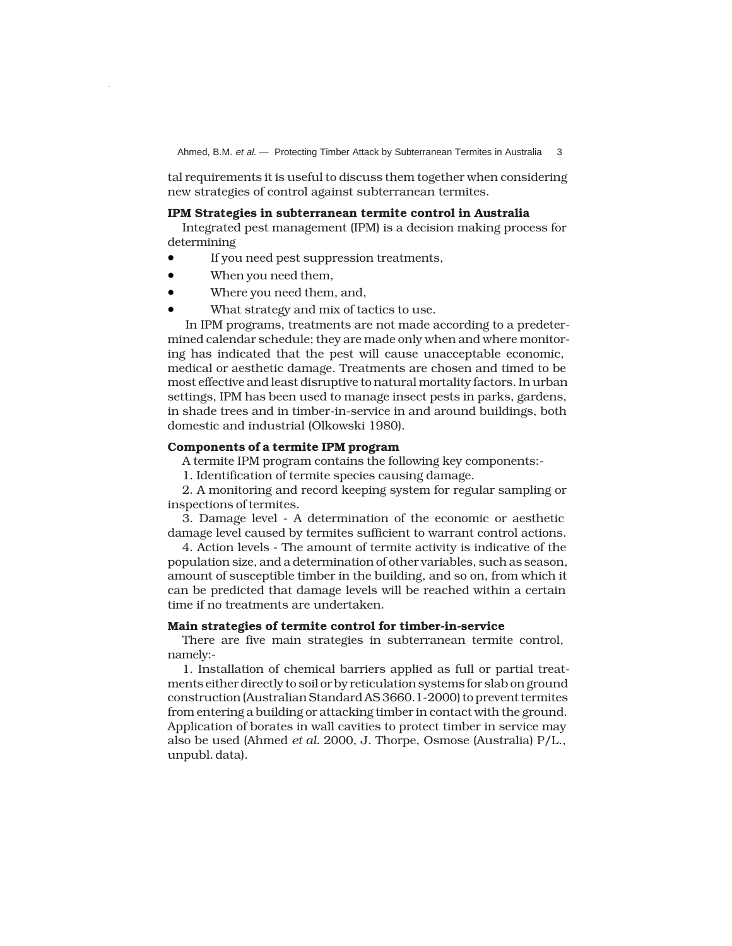Ahmed, B.M. et al. - Protecting Timber Attack by Subterranean Termites in Australia 3

tal requirements it is useful to discuss them together when considering new strategies of control against subterranean termites.

#### **IPM Strategies in subterranean termite control in Australia**

Integrated pest management (IPM) is a decision making process for determining

- If you need pest suppression treatments,
- When you need them,
- Where you need them, and,
- What strategy and mix of tactics to use.

 In IPM programs, treatments are not made according to a predetermined calendar schedule; they are made only when and where monitoring has indicated that the pest will cause unacceptable economic, medical or aesthetic damage. Treatments are chosen and timed to be most effective and least disruptive to natural mortality factors. In urban settings, IPM has been used to manage insect pests in parks, gardens, in shade trees and in timber-in-service in and around buildings, both domestic and industrial (Olkowski 1980).

# **Components of a termite IPM program**

A termite IPM program contains the following key components:-

1. Identification of termite species causing damage.

2. A monitoring and record keeping system for regular sampling or inspections of termites.

3. Damage level - A determination of the economic or aesthetic damage level caused by termites sufficient to warrant control actions.

4. Action levels - The amount of termite activity is indicative of the population size, and a determination of other variables, such as season, amount of susceptible timber in the building, and so on, from which it can be predicted that damage levels will be reached within a certain time if no treatments are undertaken.

# **Main strategies of termite control for timber-in-service**

There are five main strategies in subterranean termite control, namely:-

1. Installation of chemical barriers applied as full or partial treatments either directly to soil or by reticulation systems for slab on ground construction (Australian Standard AS 3660.1-2000) to prevent termites from entering a building or attacking timber in contact with the ground. Application of borates in wall cavities to protect timber in service may also be used (Ahmed *et al.* 2000, J. Thorpe, Osmose (Australia) P/L., unpubl. data).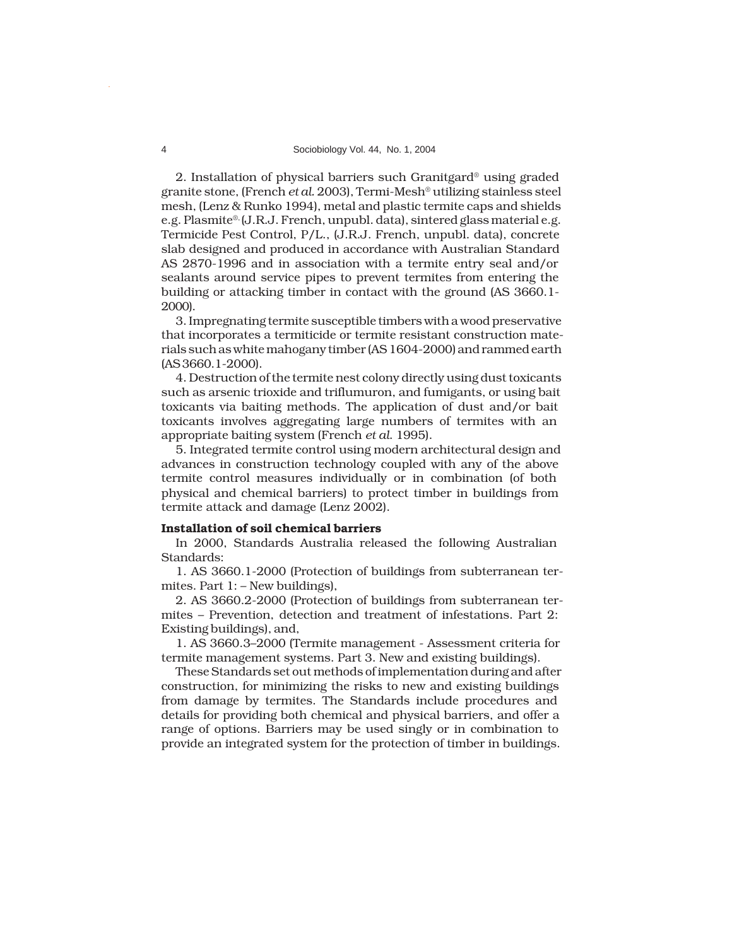## 4 Sociobiology Vol. 44, No. 1, 2004

2. Installation of physical barriers such Granitgard® using graded granite stone, (French *et al.* 2003), Termi-Mesh® utilizing stainless steel mesh, (Lenz & Runko 1994), metal and plastic termite caps and shields e.g. Plasmite<sup>®,</sup> (J.R.J. French, unpubl. data), sintered glass material e.g. Termicide Pest Control, P/L., (J.R.J. French, unpubl. data), concrete slab designed and produced in accordance with Australian Standard AS 2870-1996 and in association with a termite entry seal and/or sealants around service pipes to prevent termites from entering the building or attacking timber in contact with the ground (AS 3660.1- 2000).

3. Impregnating termite susceptible timbers with a wood preservative that incorporates a termiticide or termite resistant construction materials such as white mahogany timber (AS 1604-2000) and rammed earth (AS 3660.1-2000).

4. Destruction of the termite nest colony directly using dust toxicants such as arsenic trioxide and triflumuron, and fumigants, or using bait toxicants via baiting methods. The application of dust and/or bait toxicants involves aggregating large numbers of termites with an appropriate baiting system (French *et al*. 1995).

5. Integrated termite control using modern architectural design and advances in construction technology coupled with any of the above termite control measures individually or in combination (of both physical and chemical barriers) to protect timber in buildings from termite attack and damage (Lenz 2002).

## **Installation of soil chemical barriers**

In 2000, Standards Australia released the following Australian Standards:

1. AS 3660.1-2000 (Protection of buildings from subterranean termites. Part 1: – New buildings),

2. AS 3660.2-2000 (Protection of buildings from subterranean termites – Prevention, detection and treatment of infestations. Part 2: Existing buildings), and,

1. AS 3660.3–2000 (Termite management - Assessment criteria for termite management systems. Part 3. New and existing buildings).

These Standards set out methods of implementation during and after construction, for minimizing the risks to new and existing buildings from damage by termites. The Standards include procedures and details for providing both chemical and physical barriers, and offer a range of options. Barriers may be used singly or in combination to provide an integrated system for the protection of timber in buildings.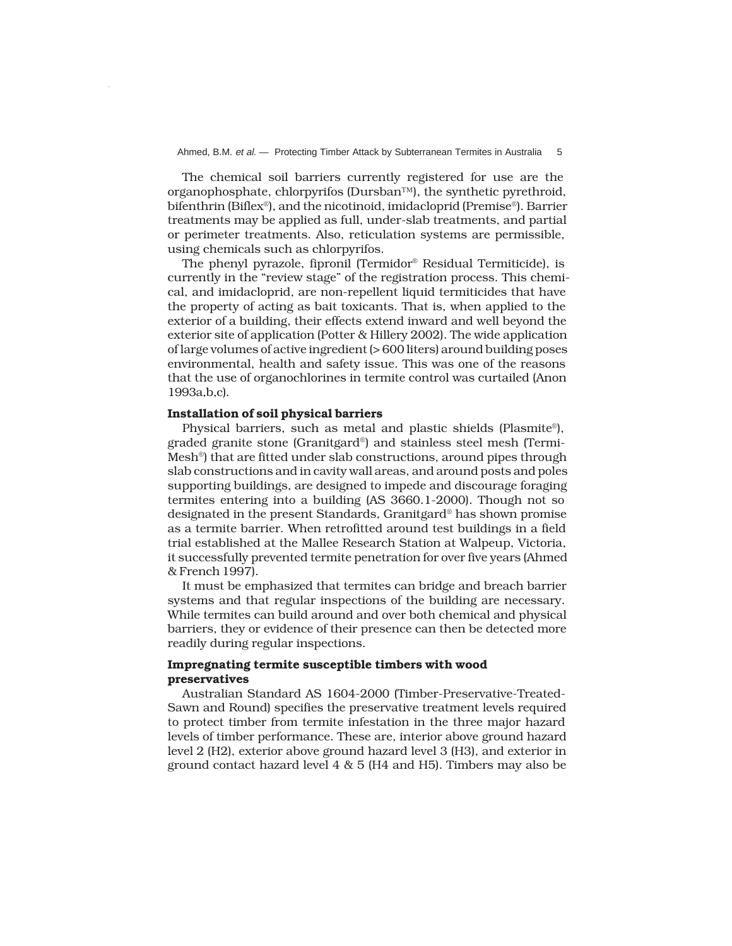The chemical soil barriers currently registered for use are the organophosphate, chlorpyrifos (Dursban™), the synthetic pyrethroid, bifenthrin (Biflex®), and the nicotinoid, imidacloprid (Premise®). Barrier treatments may be applied as full, under-slab treatments, and partial or perimeter treatments. Also, reticulation systems are permissible, using chemicals such as chlorpyrifos.

The phenyl pyrazole, fipronil (Termidor® Residual Termiticide), is currently in the "review stage" of the registration process. This chemical, and imidacloprid, are non-repellent liquid termiticides that have the property of acting as bait toxicants. That is, when applied to the exterior of a building, their effects extend inward and well beyond the exterior site of application (Potter & Hillery 2002). The wide application of large volumes of active ingredient (> 600 liters) around building poses environmental, health and safety issue. This was one of the reasons that the use of organochlorines in termite control was curtailed (Anon 1993a,b,c).

# **Installation of soil physical barriers**

Physical barriers, such as metal and plastic shields (Plasmite®), graded granite stone (Granitgard®) and stainless steel mesh (Termi-Mesh®) that are fitted under slab constructions, around pipes through slab constructions and in cavity wall areas, and around posts and poles supporting buildings, are designed to impede and discourage foraging termites entering into a building (AS 3660.1-2000). Though not so designated in the present Standards, Granitgard® has shown promise as a termite barrier. When retrofitted around test buildings in a field trial established at the Mallee Research Station at Walpeup, Victoria, it successfully prevented termite penetration for over five years (Ahmed & French 1997).

It must be emphasized that termites can bridge and breach barrier systems and that regular inspections of the building are necessary. While termites can build around and over both chemical and physical barriers, they or evidence of their presence can then be detected more readily during regular inspections.

# **Impregnating termite susceptible timbers with wood preservatives**

Australian Standard AS 1604-2000 (Timber-Preservative-Treated-Sawn and Round) specifies the preservative treatment levels required to protect timber from termite infestation in the three major hazard levels of timber performance. These are, interior above ground hazard level 2 (H2), exterior above ground hazard level 3 (H3), and exterior in ground contact hazard level  $4 \& 5$  (H4 and H5). Timbers may also be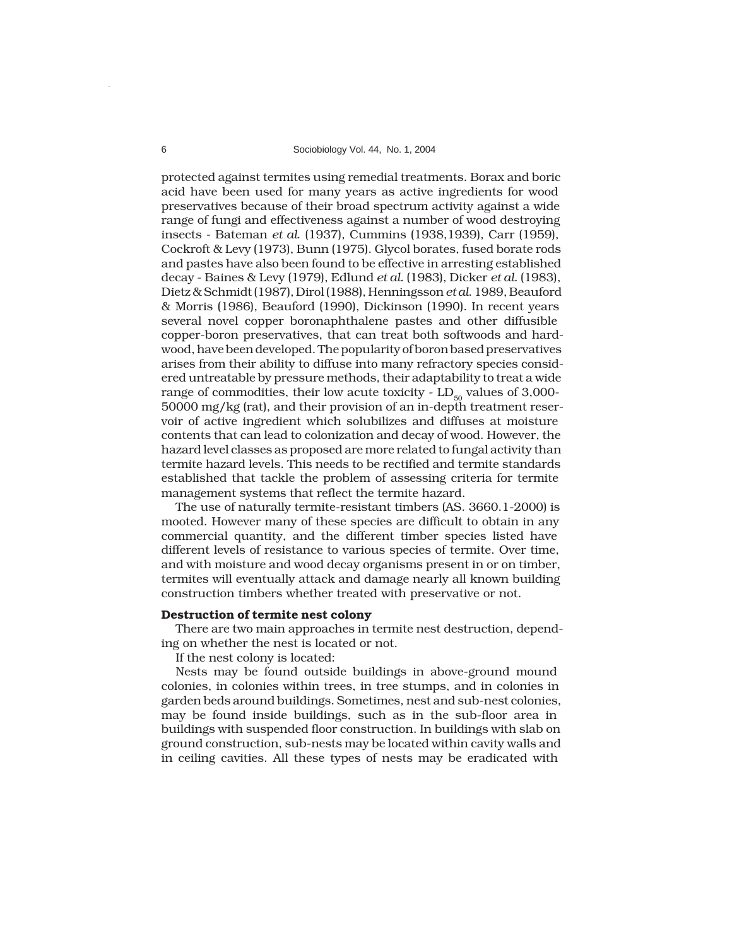protected against termites using remedial treatments. Borax and boric acid have been used for many years as active ingredients for wood preservatives because of their broad spectrum activity against a wide range of fungi and effectiveness against a number of wood destroying insects - Bateman *et al*. (1937), Cummins (1938,1939), Carr (1959), Cockroft & Levy (1973), Bunn (1975). Glycol borates, fused borate rods and pastes have also been found to be effective in arresting established decay - Baines & Levy (1979), Edlund *et al.* (1983), Dicker *et al.* (1983), Dietz & Schmidt (1987), Dirol (1988), Henningsson *et al*. 1989, Beauford & Morris (1986), Beauford (1990), Dickinson (1990). In recent years several novel copper boronaphthalene pastes and other diffusible copper-boron preservatives, that can treat both softwoods and hardwood, have been developed. The popularity of boron based preservatives arises from their ability to diffuse into many refractory species considered untreatable by pressure methods, their adaptability to treat a wide range of commodities, their low acute toxicity -  $LD_{50}$  values of 3,000-50000 mg/kg (rat), and their provision of an in-depth treatment reservoir of active ingredient which solubilizes and diffuses at moisture contents that can lead to colonization and decay of wood. However, the hazard level classes as proposed are more related to fungal activity than termite hazard levels. This needs to be rectified and termite standards established that tackle the problem of assessing criteria for termite management systems that reflect the termite hazard.

The use of naturally termite-resistant timbers (AS. 3660.1-2000) is mooted. However many of these species are difficult to obtain in any commercial quantity, and the different timber species listed have different levels of resistance to various species of termite. Over time, and with moisture and wood decay organisms present in or on timber, termites will eventually attack and damage nearly all known building construction timbers whether treated with preservative or not.

## **Destruction of termite nest colony**

There are two main approaches in termite nest destruction, depending on whether the nest is located or not.

If the nest colony is located:

Nests may be found outside buildings in above-ground mound colonies, in colonies within trees, in tree stumps, and in colonies in garden beds around buildings. Sometimes, nest and sub-nest colonies, may be found inside buildings, such as in the sub-floor area in buildings with suspended floor construction. In buildings with slab on ground construction, sub-nests may be located within cavity walls and in ceiling cavities. All these types of nests may be eradicated with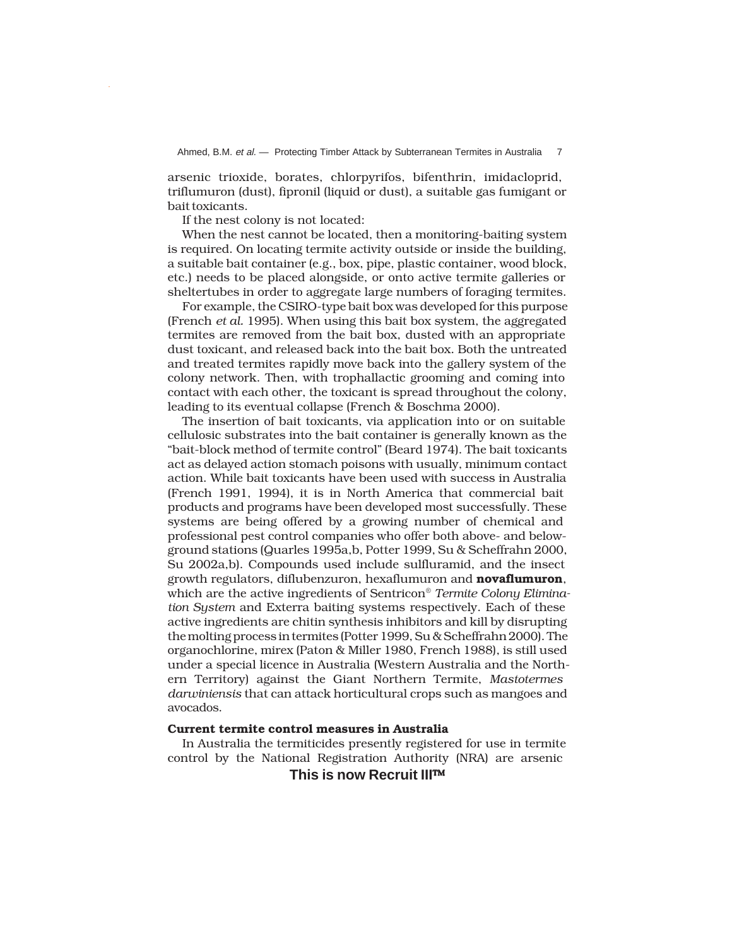arsenic trioxide, borates, chlorpyrifos, bifenthrin, imidacloprid, triflumuron (dust), fipronil (liquid or dust), a suitable gas fumigant or bait toxicants.

If the nest colony is not located:

When the nest cannot be located, then a monitoring-baiting system is required. On locating termite activity outside or inside the building, a suitable bait container (e.g., box, pipe, plastic container, wood block, etc.) needs to be placed alongside, or onto active termite galleries or sheltertubes in order to aggregate large numbers of foraging termites.

For example, the CSIRO-type bait box was developed for this purpose (French *et al.* 1995). When using this bait box system, the aggregated termites are removed from the bait box, dusted with an appropriate dust toxicant, and released back into the bait box. Both the untreated and treated termites rapidly move back into the gallery system of the colony network. Then, with trophallactic grooming and coming into contact with each other, the toxicant is spread throughout the colony, leading to its eventual collapse (French & Boschma 2000).

The insertion of bait toxicants, via application into or on suitable cellulosic substrates into the bait container is generally known as the "bait-block method of termite control" (Beard 1974). The bait toxicants act as delayed action stomach poisons with usually, minimum contact action. While bait toxicants have been used with success in Australia (French 1991, 1994), it is in North America that commercial bait products and programs have been developed most successfully. These systems are being offered by a growing number of chemical and professional pest control companies who offer both above- and belowground stations (Quarles 1995a,b, Potter 1999, Su & Scheffrahn 2000, Su 2002a,b). Compounds used include sulfluramid, and the insect growth regulators, diflubenzuron, hexaflumuron and **novaflumuron**, which are the active ingredients of Sentricon® *Termite Colony Elimination System* and Exterra baiting systems respectively. Each of these active ingredients are chitin synthesis inhibitors and kill by disrupting the molting process in termites (Potter 1999, Su & Scheffrahn 2000). The organochlorine, mirex (Paton & Miller 1980, French 1988), is still used under a special licence in Australia (Western Australia and the Northern Territory) against the Giant Northern Termite, *Mastotermes darwiniensis* that can attack horticultural crops such as mangoes and avocados.

# **Current termite control measures in Australia**

In Australia the termiticides presently registered for use in termite control by the National Registration Authority (NRA) are arsenic

**This is now Recruit III**™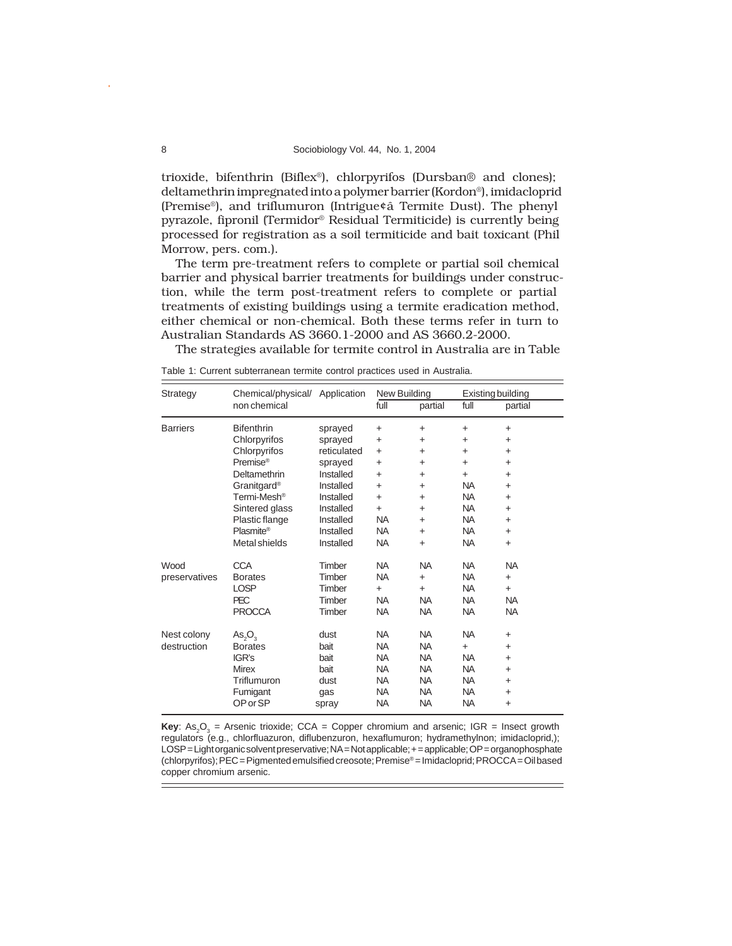trioxide, bifenthrin (Biflex®), chlorpyrifos (Dursban® and clones); deltamethrin impregnated into a polymer barrier (Kordon®), imidacloprid (Premise®), and triflumuron (Intrigue¢â Termite Dust). The phenyl pyrazole, fipronil (Termidor® Residual Termiticide) is currently being processed for registration as a soil termiticide and bait toxicant (Phil Morrow, pers. com.).

The term pre-treatment refers to complete or partial soil chemical barrier and physical barrier treatments for buildings under construction, while the term post-treatment refers to complete or partial treatments of existing buildings using a termite eradication method, either chemical or non-chemical. Both these terms refer in turn to Australian Standards AS 3660.1-2000 and AS 3660.2-2000.

The strategies available for termite control in Australia are in Table

Table 1: Current subterranean termite control practices used in Australia.

| Strategy        | Chemical/physical/ Application |             | New Building |           | Existing building |           |
|-----------------|--------------------------------|-------------|--------------|-----------|-------------------|-----------|
|                 | non chemical                   |             | full         | partial   | full              | partial   |
| <b>Barriers</b> | <b>Bifenthrin</b>              | sprayed     | $\ddot{}$    | $\ddot{}$ | $\ddot{}$         | $\ddot{}$ |
|                 | Chlorpyrifos                   | sprayed     | $\ddot{}$    | $\ddot{}$ | $\ddot{}$         | $\ddot{}$ |
|                 | Chlorpyrifos                   | reticulated | $\ddot{}$    | $\ddot{}$ | $\ddot{}$         | $+$       |
|                 | Premise <sup>®</sup>           | sprayed     | $\ddot{}$    | $\ddot{}$ | $\ddot{}$         | $\ddot{}$ |
|                 | Deltamethrin                   | Installed   | $\ddot{}$    | $\ddot{}$ | $+$               | $\ddot{}$ |
|                 | Granitgard <sup>®</sup>        | Installed   | $\ddot{}$    | $\ddot{}$ | <b>NA</b>         | $\ddot{}$ |
|                 | Termi-Mesh <sup>®</sup>        | Installed   | $\ddot{}$    | $\ddot{}$ | <b>NA</b>         | $\ddot{}$ |
|                 | Sintered glass                 | Installed   | $\ddot{}$    | $\ddot{}$ | <b>NA</b>         | $\ddot{}$ |
|                 | Plastic flange                 | Installed   | <b>NA</b>    | $\ddot{}$ | <b>NA</b>         | $\ddot{}$ |
|                 | Plasmite®                      | Installed   | <b>NA</b>    | $\ddot{}$ | <b>NA</b>         | $\ddot{}$ |
|                 | Metal shields                  | Installed   | <b>NA</b>    | $+$       | <b>NA</b>         | $\ddot{}$ |
| Wood            | <b>CCA</b>                     | Timber      | <b>NA</b>    | <b>NA</b> | <b>NA</b>         | <b>NA</b> |
| preservatives   | <b>Borates</b>                 | Timber      | <b>NA</b>    | $+$       | <b>NA</b>         | $\ddot{}$ |
|                 | <b>LOSP</b>                    | Timber      | $+$          | $+$       | <b>NA</b>         | $\ddot{}$ |
|                 | <b>PEC</b>                     | Timber      | <b>NA</b>    | <b>NA</b> | <b>NA</b>         | <b>NA</b> |
|                 | <b>PROCCA</b>                  | Timber      | <b>NA</b>    | <b>NA</b> | <b>NA</b>         | <b>NA</b> |
| Nest colony     | $As_2O_3$                      | dust        | <b>NA</b>    | <b>NA</b> | <b>NA</b>         | $\ddot{}$ |
| destruction     | <b>Borates</b>                 | bait        | <b>NA</b>    | <b>NA</b> | $+$               | $\ddot{}$ |
|                 | IGR's                          | bait        | <b>NA</b>    | <b>NA</b> | <b>NA</b>         | $\ddot{}$ |
|                 | <b>Mirex</b>                   | bait        | <b>NA</b>    | <b>NA</b> | <b>NA</b>         | $+$       |
|                 | Triflumuron                    | dust        | <b>NA</b>    | <b>NA</b> | <b>NA</b>         | $\ddot{}$ |
|                 | Fumigant                       | gas         | <b>NA</b>    | <b>NA</b> | <b>NA</b>         | $\ddot{}$ |
|                 | OP or SP                       | spray       | <b>NA</b>    | <b>NA</b> | <b>NA</b>         | $\ddot{}$ |

**Key**: As<sub>2</sub>O<sub>3</sub> = Arsenic trioxide; CCA = Copper chromium and arsenic; IGR = Insect growth regulators (e.g., chlorfluazuron, diflubenzuron, hexaflumuron; hydramethylnon; imidacloprid,); LOSP = Light organic solvent preservative; NA = Not applicable; + = applicable; OP = organophosphate (chlorpyrifos); PEC = Pigmented emulsified creosote; Premise® = Imidacloprid; PROCCA = Oil based copper chromium arsenic.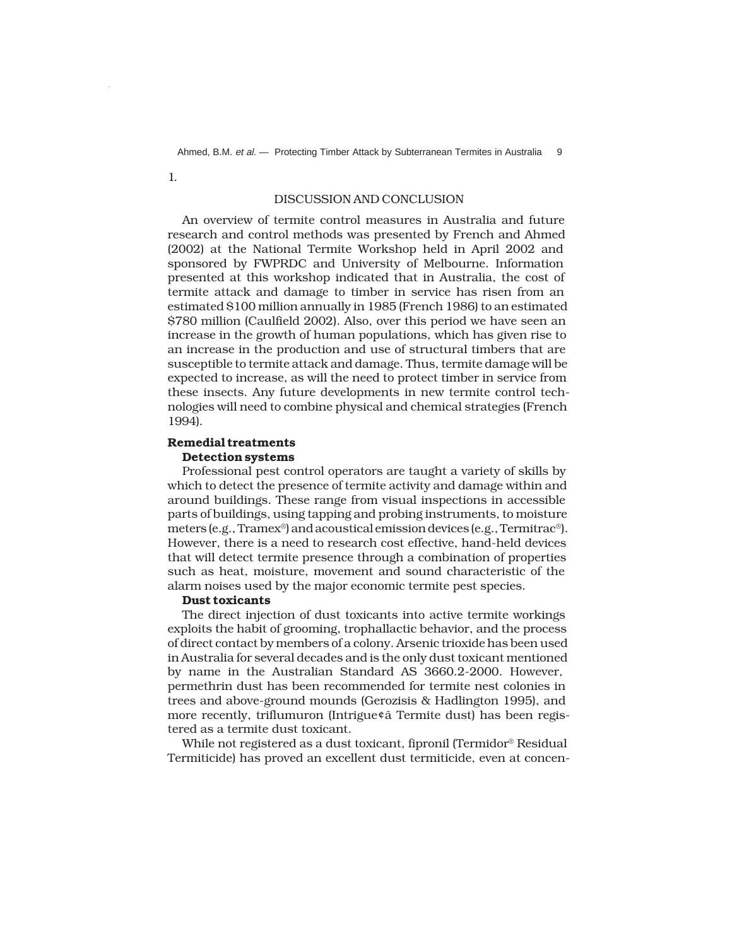Ahmed, B.M. et al. - Protecting Timber Attack by Subterranean Termites in Australia 9

1.

# DISCUSSION AND CONCLUSION

An overview of termite control measures in Australia and future research and control methods was presented by French and Ahmed (2002) at the National Termite Workshop held in April 2002 and sponsored by FWPRDC and University of Melbourne. Information presented at this workshop indicated that in Australia, the cost of termite attack and damage to timber in service has risen from an estimated \$100 million annually in 1985 (French 1986) to an estimated \$780 million (Caulfield 2002). Also, over this period we have seen an increase in the growth of human populations, which has given rise to an increase in the production and use of structural timbers that are susceptible to termite attack and damage. Thus, termite damage will be expected to increase, as will the need to protect timber in service from these insects. Any future developments in new termite control technologies will need to combine physical and chemical strategies (French 1994).

# **Remedial treatments**

# **Detection systems**

Professional pest control operators are taught a variety of skills by which to detect the presence of termite activity and damage within and around buildings. These range from visual inspections in accessible parts of buildings, using tapping and probing instruments, to moisture meters (e.g., Tramex®) and acoustical emission devices (e.g., Termitrac®). However, there is a need to research cost effective, hand-held devices that will detect termite presence through a combination of properties such as heat, moisture, movement and sound characteristic of the alarm noises used by the major economic termite pest species.

## **Dust toxicants**

The direct injection of dust toxicants into active termite workings exploits the habit of grooming, trophallactic behavior, and the process of direct contact by members of a colony. Arsenic trioxide has been used in Australia for several decades and is the only dust toxicant mentioned by name in the Australian Standard AS 3660.2-2000. However, permethrin dust has been recommended for termite nest colonies in trees and above-ground mounds (Gerozisis & Hadlington 1995), and more recently, triflumuron (Intrigue¢â Termite dust) has been registered as a termite dust toxicant.

While not registered as a dust toxicant, fipronil (Termidor® Residual Termiticide) has proved an excellent dust termiticide, even at concen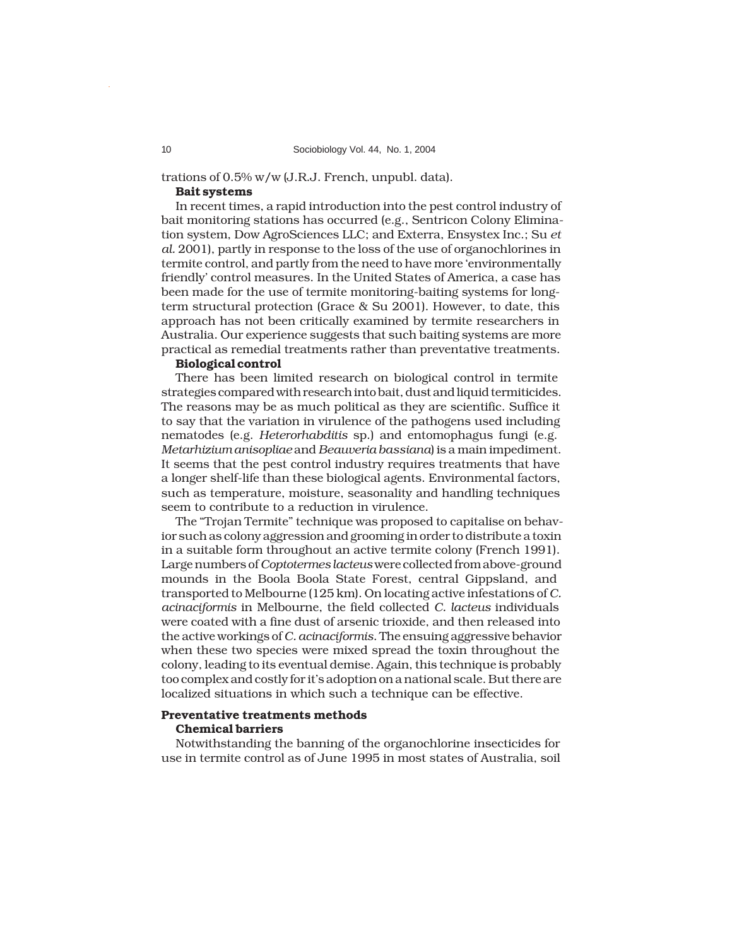trations of 0.5% w/w (J.R.J. French, unpubl. data).

## **Bait systems**

In recent times, a rapid introduction into the pest control industry of bait monitoring stations has occurred (e.g., Sentricon Colony Elimination system, Dow AgroSciences LLC; and Exterra, Ensystex Inc.; Su *et al.* 2001), partly in response to the loss of the use of organochlorines in termite control, and partly from the need to have more 'environmentally friendly' control measures. In the United States of America, a case has been made for the use of termite monitoring-baiting systems for longterm structural protection (Grace & Su 2001). However, to date, this approach has not been critically examined by termite researchers in Australia. Our experience suggests that such baiting systems are more practical as remedial treatments rather than preventative treatments.

# **Biological control**

There has been limited research on biological control in termite strategies compared with research into bait, dust and liquid termiticides. The reasons may be as much political as they are scientific. Suffice it to say that the variation in virulence of the pathogens used including nematodes (e.g. *Heterorhabditis* sp.) and entomophagus fungi (e.g. *Metarhizium anisopliae* and *Beauveria bassiana*) is a main impediment. It seems that the pest control industry requires treatments that have a longer shelf-life than these biological agents. Environmental factors, such as temperature, moisture, seasonality and handling techniques seem to contribute to a reduction in virulence.

The "Trojan Termite" technique was proposed to capitalise on behavior such as colony aggression and grooming in order to distribute a toxin in a suitable form throughout an active termite colony (French 1991). Large numbers of *Coptotermes lacteus* were collected from above-ground mounds in the Boola Boola State Forest, central Gippsland, and transported to Melbourne (125 km). On locating active infestations of *C. acinaciformis* in Melbourne, the field collected *C. lacteus* individuals were coated with a fine dust of arsenic trioxide, and then released into the active workings of *C. acinaciformis*. The ensuing aggressive behavior when these two species were mixed spread the toxin throughout the colony, leading to its eventual demise. Again, this technique is probably too complex and costly for it's adoption on a national scale. But there are localized situations in which such a technique can be effective.

## **Preventative treatments methods Chemical barriers**

Notwithstanding the banning of the organochlorine insecticides for use in termite control as of June 1995 in most states of Australia, soil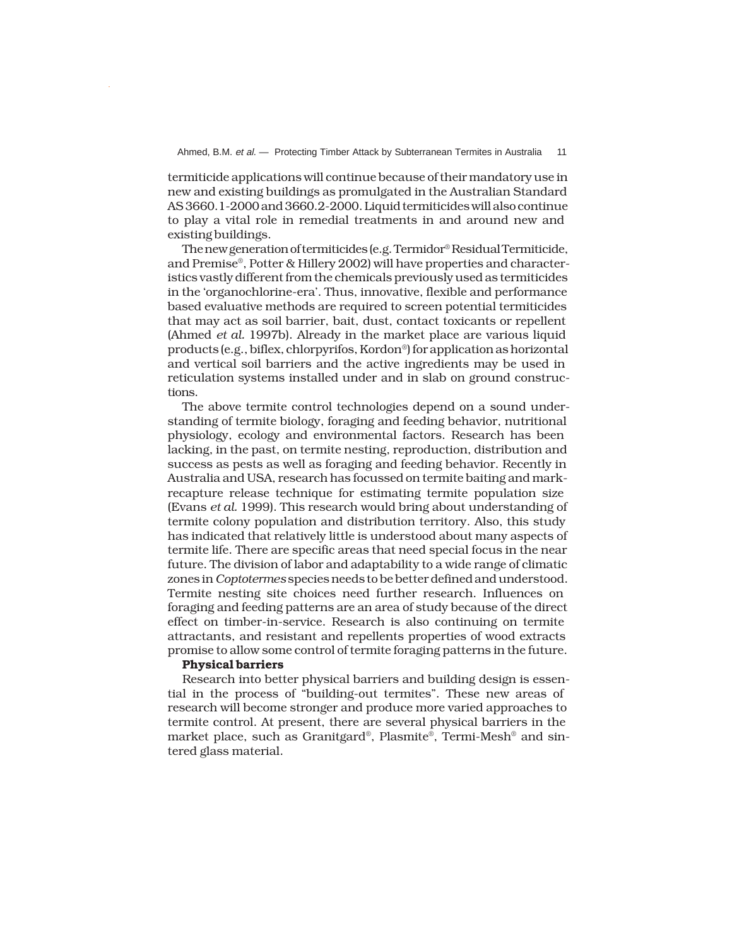termiticide applications will continue because of their mandatory use in new and existing buildings as promulgated in the Australian Standard AS 3660.1-2000 and 3660.2-2000. Liquid termiticides will also continue to play a vital role in remedial treatments in and around new and existing buildings.

The new generation of termiticides (e.g. Termidor® Residual Termiticide, and Premise®, Potter & Hillery 2002) will have properties and characteristics vastly different from the chemicals previously used as termiticides in the 'organochlorine-era'. Thus, innovative, flexible and performance based evaluative methods are required to screen potential termiticides that may act as soil barrier, bait, dust, contact toxicants or repellent (Ahmed *et al.* 1997b). Already in the market place are various liquid products (e.g., biflex, chlorpyrifos, Kordon®) for application as horizontal and vertical soil barriers and the active ingredients may be used in reticulation systems installed under and in slab on ground constructions.

The above termite control technologies depend on a sound understanding of termite biology, foraging and feeding behavior, nutritional physiology, ecology and environmental factors. Research has been lacking, in the past, on termite nesting, reproduction, distribution and success as pests as well as foraging and feeding behavior. Recently in Australia and USA, research has focussed on termite baiting and markrecapture release technique for estimating termite population size (Evans *et al.* 1999). This research would bring about understanding of termite colony population and distribution territory. Also, this study has indicated that relatively little is understood about many aspects of termite life. There are specific areas that need special focus in the near future. The division of labor and adaptability to a wide range of climatic zones in *Coptotermes* species needs to be better defined and understood. Termite nesting site choices need further research. Influences on foraging and feeding patterns are an area of study because of the direct effect on timber-in-service. Research is also continuing on termite attractants, and resistant and repellents properties of wood extracts promise to allow some control of termite foraging patterns in the future.

## **Physical barriers**

Research into better physical barriers and building design is essential in the process of "building-out termites". These new areas of research will become stronger and produce more varied approaches to termite control. At present, there are several physical barriers in the market place, such as Granitgard®, Plasmite®, Termi-Mesh® and sintered glass material.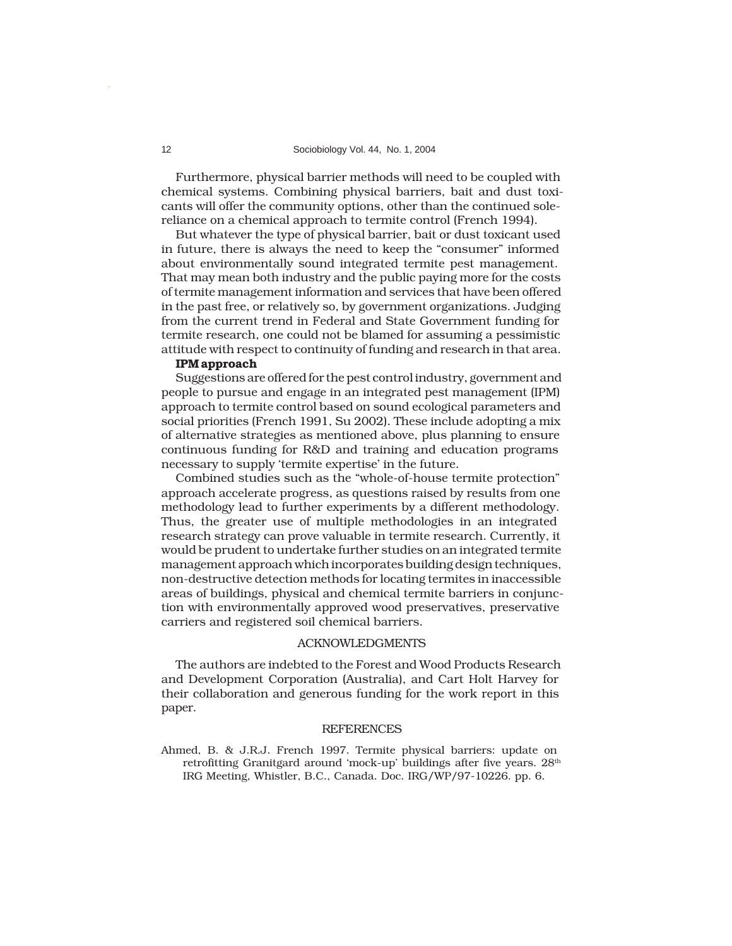## 12 Sociobiology Vol. 44, No. 1, 2004

Furthermore, physical barrier methods will need to be coupled with chemical systems. Combining physical barriers, bait and dust toxicants will offer the community options, other than the continued solereliance on a chemical approach to termite control (French 1994).

But whatever the type of physical barrier, bait or dust toxicant used in future, there is always the need to keep the "consumer" informed about environmentally sound integrated termite pest management. That may mean both industry and the public paying more for the costs of termite management information and services that have been offered in the past free, or relatively so, by government organizations. Judging from the current trend in Federal and State Government funding for termite research, one could not be blamed for assuming a pessimistic attitude with respect to continuity of funding and research in that area.

# **IPM approach**

Suggestions are offered for the pest control industry, government and people to pursue and engage in an integrated pest management (IPM) approach to termite control based on sound ecological parameters and social priorities (French 1991, Su 2002). These include adopting a mix of alternative strategies as mentioned above, plus planning to ensure continuous funding for R&D and training and education programs necessary to supply 'termite expertise' in the future.

Combined studies such as the "whole-of-house termite protection" approach accelerate progress, as questions raised by results from one methodology lead to further experiments by a different methodology. Thus, the greater use of multiple methodologies in an integrated research strategy can prove valuable in termite research. Currently, it would be prudent to undertake further studies on an integrated termite management approach which incorporates building design techniques, non-destructive detection methods for locating termites in inaccessible areas of buildings, physical and chemical termite barriers in conjunction with environmentally approved wood preservatives, preservative carriers and registered soil chemical barriers.

## ACKNOWLEDGMENTS

The authors are indebted to the Forest and Wood Products Research and Development Corporation (Australia), and Cart Holt Harvey for their collaboration and generous funding for the work report in this paper.

## **REFERENCES**

Ahmed, B. & J.R.J. French 1997. Termite physical barriers: update on retrofitting Granitgard around 'mock-up' buildings after five years. 28<sup>th</sup> IRG Meeting, Whistler, B.C., Canada. Doc. IRG/WP/97-10226. pp. 6.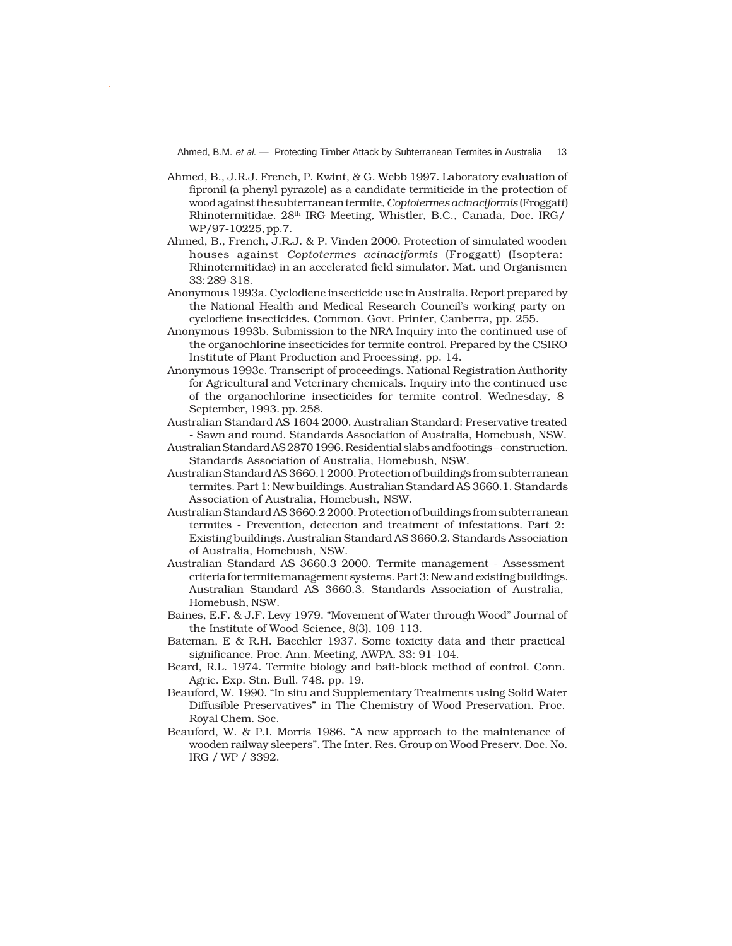- Ahmed, B., J.R.J. French, P. Kwint, & G. Webb 1997. Laboratory evaluation of fipronil (a phenyl pyrazole) as a candidate termiticide in the protection of wood against the subterranean termite, *Coptotermes acinaciformis* (Froggatt) Rhinotermitidae. 28<sup>th</sup> IRG Meeting, Whistler, B.C., Canada, Doc. IRG/ WP/97-10225, pp.7.
- Ahmed, B., French, J.R.J. & P. Vinden 2000. Protection of simulated wooden houses against *Coptotermes acinaciformis* (Froggatt) (Isoptera: Rhinotermitidae) in an accelerated field simulator. Mat. und Organismen 33: 289-318.
- Anonymous 1993a. Cyclodiene insecticide use in Australia. Report prepared by the National Health and Medical Research Council's working party on cyclodiene insecticides. Common. Govt. Printer, Canberra, pp. 255.
- Anonymous 1993b. Submission to the NRA Inquiry into the continued use of the organochlorine insecticides for termite control. Prepared by the CSIRO Institute of Plant Production and Processing, pp. 14.
- Anonymous 1993c. Transcript of proceedings. National Registration Authority for Agricultural and Veterinary chemicals. Inquiry into the continued use of the organochlorine insecticides for termite control. Wednesday, 8 September, 1993. pp. 258.
- Australian Standard AS 1604 2000. Australian Standard: Preservative treated - Sawn and round. Standards Association of Australia, Homebush, NSW.
- Australian Standard AS 2870 1996. Residential slabs and footings construction. Standards Association of Australia, Homebush, NSW.
- Australian Standard AS 3660.1 2000. Protection of buildings from subterranean termites. Part 1: New buildings. Australian Standard AS 3660.1. Standards Association of Australia, Homebush, NSW.
- Australian Standard AS 3660.2 2000. Protection of buildings from subterranean termites - Prevention, detection and treatment of infestations. Part 2: Existing buildings. Australian Standard AS 3660.2. Standards Association of Australia, Homebush, NSW.
- Australian Standard AS 3660.3 2000. Termite management Assessment criteria for termite management systems. Part 3: New and existing buildings. Australian Standard AS 3660.3. Standards Association of Australia, Homebush, NSW.
- Baines, E.F. & J.F. Levy 1979. "Movement of Water through Wood" Journal of the Institute of Wood-Science, 8(3), 109-113.
- Bateman, E & R.H. Baechler 1937. Some toxicity data and their practical significance. Proc. Ann. Meeting, AWPA, 33: 91-104.
- Beard, R.L. 1974. Termite biology and bait-block method of control. Conn. Agric. Exp. Stn. Bull. 748. pp. 19.
- Beauford, W. 1990. "In situ and Supplementary Treatments using Solid Water Diffusible Preservatives" in The Chemistry of Wood Preservation. Proc. Royal Chem. Soc.
- Beauford, W. & P.I. Morris 1986. "A new approach to the maintenance of wooden railway sleepers", The Inter. Res. Group on Wood Preserv. Doc. No. IRG / WP / 3392.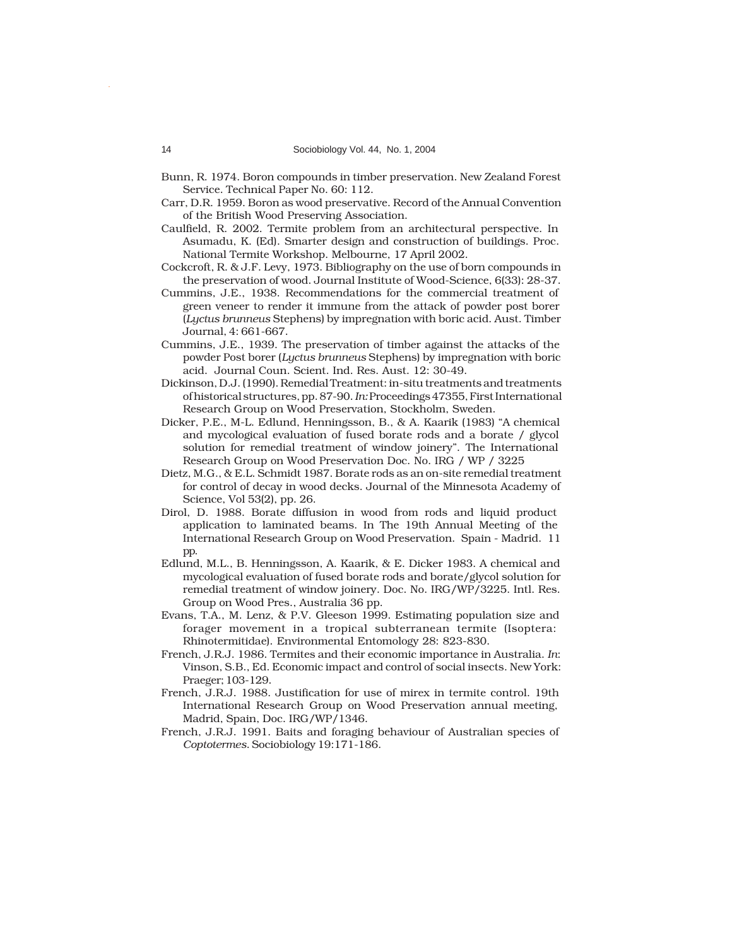- Bunn, R. 1974. Boron compounds in timber preservation. New Zealand Forest Service. Technical Paper No. 60: 112.
- Carr, D.R. 1959. Boron as wood preservative. Record of the Annual Convention of the British Wood Preserving Association.
- Caulfield, R. 2002. Termite problem from an architectural perspective. In Asumadu, K. (Ed). Smarter design and construction of buildings. Proc. National Termite Workshop. Melbourne, 17 April 2002.
- Cockcroft, R. & J.F. Levy, 1973. Bibliography on the use of born compounds in the preservation of wood. Journal Institute of Wood-Science, 6(33): 28-37.
- Cummins, J.E., 1938. Recommendations for the commercial treatment of green veneer to render it immune from the attack of powder post borer (*Lyctus brunneus* Stephens) by impregnation with boric acid. Aust. Timber Journal, 4: 661-667.
- Cummins, J.E., 1939. The preservation of timber against the attacks of the powder Post borer (*Lyctus brunneus* Stephens) by impregnation with boric acid. Journal Coun. Scient. Ind. Res. Aust. 12: 30-49.
- Dickinson, D.J. (1990). Remedial Treatment: in-situ treatments and treatments of historical structures, pp. 87-90. *In:* Proceedings 47355, First International Research Group on Wood Preservation, Stockholm, Sweden.
- Dicker, P.E., M-L. Edlund, Henningsson, B., & A. Kaarik (1983) "A chemical and mycological evaluation of fused borate rods and a borate / glycol solution for remedial treatment of window joinery". The International Research Group on Wood Preservation Doc. No. IRG / WP / 3225
- Dietz, M.G., & E.L. Schmidt 1987. Borate rods as an on-site remedial treatment for control of decay in wood decks. Journal of the Minnesota Academy of Science, Vol 53(2), pp. 26.
- Dirol, D. 1988. Borate diffusion in wood from rods and liquid product application to laminated beams. In The 19th Annual Meeting of the International Research Group on Wood Preservation. Spain - Madrid. 11 pp.
- Edlund, M.L., B. Henningsson, A. Kaarik, & E. Dicker 1983. A chemical and mycological evaluation of fused borate rods and borate/glycol solution for remedial treatment of window joinery. Doc. No. IRG/WP/3225. Intl. Res. Group on Wood Pres., Australia 36 pp.
- Evans, T.A., M. Lenz, & P.V. Gleeson 1999. Estimating population size and forager movement in a tropical subterranean termite (Isoptera: Rhinotermitidae). Environmental Entomology 28: 823-830.
- French, J.R.J. 1986. Termites and their economic importance in Australia. *In*: Vinson, S.B., Ed. Economic impact and control of social insects. New York: Praeger; 103-129.
- French, J.R.J. 1988. Justification for use of mirex in termite control. 19th International Research Group on Wood Preservation annual meeting, Madrid, Spain, Doc. IRG/WP/1346.
- French, J.R.J. 1991. Baits and foraging behaviour of Australian species of *Coptotermes*. Sociobiology 19:171-186.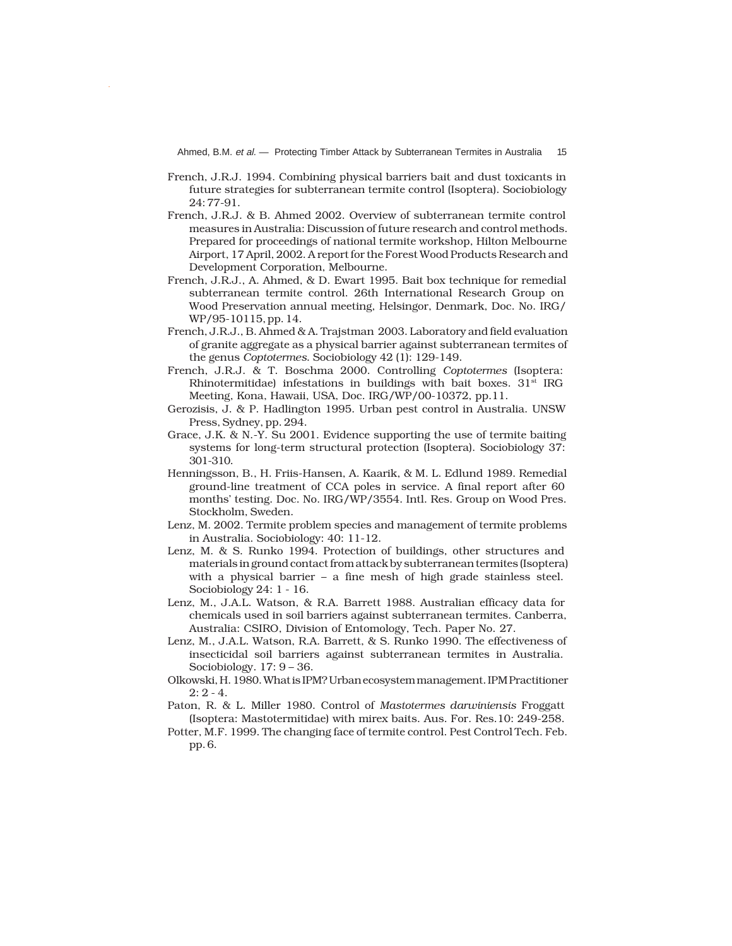Ahmed, B.M. et al. - Protecting Timber Attack by Subterranean Termites in Australia 15

- French, J.R.J. 1994. Combining physical barriers bait and dust toxicants in future strategies for subterranean termite control (Isoptera). Sociobiology 24: 77-91.
- French, J.R.J. & B. Ahmed 2002. Overview of subterranean termite control measures in Australia: Discussion of future research and control methods. Prepared for proceedings of national termite workshop, Hilton Melbourne Airport, 17 April, 2002. A report for the Forest Wood Products Research and Development Corporation, Melbourne.
- French, J.R.J., A. Ahmed, & D. Ewart 1995. Bait box technique for remedial subterranean termite control. 26th International Research Group on Wood Preservation annual meeting, Helsingor, Denmark, Doc. No. IRG/ WP/95-10115, pp. 14.
- French, J.R.J., B. Ahmed & A. Trajstman 2003. Laboratory and field evaluation of granite aggregate as a physical barrier against subterranean termites of the genus *Coptotermes*. Sociobiology 42 (1): 129-149.
- French, J.R.J. & T. Boschma 2000. Controlling *Coptotermes* (Isoptera: Rhinotermitidae) infestations in buildings with bait boxes.  $31<sup>st</sup> IRG$ Meeting, Kona, Hawaii, USA, Doc. IRG/WP/00-10372, pp.11.
- Gerozisis, J. & P. Hadlington 1995. Urban pest control in Australia. UNSW Press, Sydney, pp. 294.
- Grace, J.K. & N.-Y. Su 2001. Evidence supporting the use of termite baiting systems for long-term structural protection (Isoptera). Sociobiology 37: 301-310.
- Henningsson, B., H. Friis-Hansen, A. Kaarik, & M. L. Edlund 1989. Remedial ground-line treatment of CCA poles in service. A final report after 60 months' testing. Doc. No. IRG/WP/3554. Intl. Res. Group on Wood Pres. Stockholm, Sweden.
- Lenz, M. 2002. Termite problem species and management of termite problems in Australia. Sociobiology: 40: 11-12.
- Lenz, M. & S. Runko 1994. Protection of buildings, other structures and materials in ground contact from attack by subterranean termites (Isoptera) with a physical barrier – a fine mesh of high grade stainless steel. Sociobiology 24: 1 - 16.
- Lenz, M., J.A.L. Watson, & R.A. Barrett 1988. Australian efficacy data for chemicals used in soil barriers against subterranean termites. Canberra, Australia: CSIRO, Division of Entomology, Tech. Paper No. 27.
- Lenz, M., J.A.L. Watson, R.A. Barrett, & S. Runko 1990. The effectiveness of insecticidal soil barriers against subterranean termites in Australia. Sociobiology. 17: 9 – 36.
- Olkowski, H. 1980. What is IPM? Urban ecosystem management. IPM Practitioner  $2: 2 - 4.$
- Paton, R. & L. Miller 1980. Control of *Mastotermes darwiniensis* Froggatt (Isoptera: Mastotermitidae) with mirex baits. Aus. For. Res.10: 249-258.
- Potter, M.F. 1999. The changing face of termite control. Pest Control Tech. Feb. pp. 6.